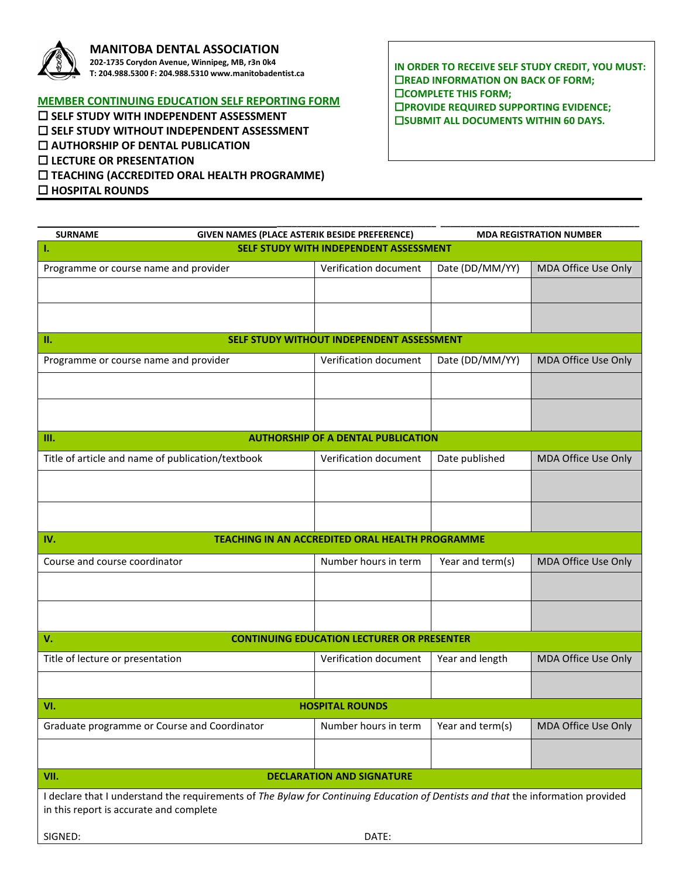

## **MANITOBA DENTAL ASSOCIATION**

**202-1735 Corydon Avenue, Winnipeg, MB, r3n 0k4 T: 204.988.5300 F: 204.988.5310 www.manitobadentist.ca**

## **MEMBER CONTINUING EDUCATION SELF REPORTING FORM**

 **SELF STUDY WITH INDEPENDENT ASSESSMENT SELF STUDY WITHOUT INDEPENDENT ASSESSMENT AUTHORSHIP OF DENTAL PUBLICATION LECTURE OR PRESENTATION TEACHING (ACCREDITED ORAL HEALTH PROGRAMME) HOSPITAL ROUNDS**

**IN ORDER TO RECEIVE SELF STUDY CREDIT, YOU MUST: EXECUTE INFORMATION ON BACK OF FORM; COMPLETE THIS FORM; PROVIDE REQUIRED SUPPORTING EVIDENCE; EISUBMIT ALL DOCUMENTS WITHIN 60 DAYS.** 

| <b>SURNAME</b>                                                                                                                   | GIVEN NAMES (PLACE ASTERIK BESIDE PREFERENCE)     |                  | <b>MDA REGISTRATION NUMBER</b> |
|----------------------------------------------------------------------------------------------------------------------------------|---------------------------------------------------|------------------|--------------------------------|
| SELF STUDY WITH INDEPENDENT ASSESSMENT<br>т.                                                                                     |                                                   |                  |                                |
| Programme or course name and provider                                                                                            | Verification document                             | Date (DD/MM/YY)  | MDA Office Use Only            |
|                                                                                                                                  |                                                   |                  |                                |
|                                                                                                                                  |                                                   |                  |                                |
|                                                                                                                                  |                                                   |                  |                                |
| п.<br>SELF STUDY WITHOUT INDEPENDENT ASSESSMENT                                                                                  |                                                   |                  |                                |
| Programme or course name and provider                                                                                            | Verification document                             | Date (DD/MM/YY)  | MDA Office Use Only            |
|                                                                                                                                  |                                                   |                  |                                |
|                                                                                                                                  |                                                   |                  |                                |
|                                                                                                                                  |                                                   |                  |                                |
| III.<br><b>AUTHORSHIP OF A DENTAL PUBLICATION</b>                                                                                |                                                   |                  |                                |
| Title of article and name of publication/textbook                                                                                | Verification document                             | Date published   | MDA Office Use Only            |
|                                                                                                                                  |                                                   |                  |                                |
|                                                                                                                                  |                                                   |                  |                                |
|                                                                                                                                  |                                                   |                  |                                |
| TEACHING IN AN ACCREDITED ORAL HEALTH PROGRAMME<br>IV.                                                                           |                                                   |                  |                                |
| Course and course coordinator                                                                                                    | Number hours in term                              | Year and term(s) | MDA Office Use Only            |
|                                                                                                                                  |                                                   |                  |                                |
|                                                                                                                                  |                                                   |                  |                                |
|                                                                                                                                  |                                                   |                  |                                |
| V.                                                                                                                               | <b>CONTINUING EDUCATION LECTURER OR PRESENTER</b> |                  |                                |
|                                                                                                                                  |                                                   |                  |                                |
| Title of lecture or presentation                                                                                                 | Verification document                             | Year and length  | MDA Office Use Only            |
|                                                                                                                                  |                                                   |                  |                                |
| VI.<br><b>HOSPITAL ROUNDS</b>                                                                                                    |                                                   |                  |                                |
| Graduate programme or Course and Coordinator                                                                                     | Number hours in term                              | Year and term(s) | MDA Office Use Only            |
|                                                                                                                                  |                                                   |                  |                                |
|                                                                                                                                  |                                                   |                  |                                |
| VII.<br><b>DECLARATION AND SIGNATURE</b>                                                                                         |                                                   |                  |                                |
| I declare that I understand the requirements of The Bylaw for Continuing Education of Dentists and that the information provided |                                                   |                  |                                |
| in this report is accurate and complete                                                                                          |                                                   |                  |                                |
| SIGNED:                                                                                                                          | DATE:                                             |                  |                                |